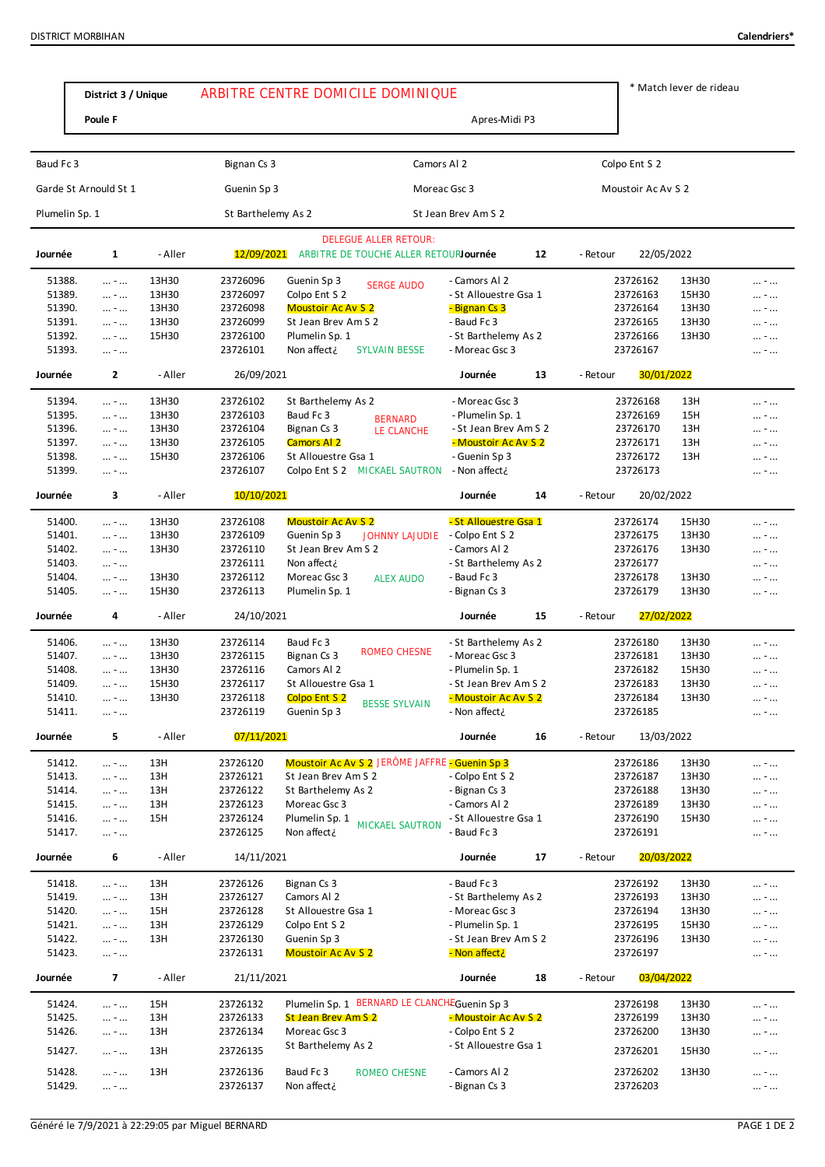|                       | District 3 / Unique                        |                | ARBITRE CENTRE DOMICILE DOMINIQUE |                                                                       |                                               |    |          | * Match lever de rideau |                |            |
|-----------------------|--------------------------------------------|----------------|-----------------------------------|-----------------------------------------------------------------------|-----------------------------------------------|----|----------|-------------------------|----------------|------------|
|                       |                                            |                |                                   |                                                                       |                                               |    |          |                         |                |            |
|                       | Poule F                                    |                |                                   |                                                                       | Apres-Midi P3                                 |    |          |                         |                |            |
| Baud Fc 3             |                                            |                | Bignan Cs 3                       | Camors Al 2                                                           |                                               |    |          | Colpo Ent S 2           |                |            |
| Garde St Arnould St 1 |                                            |                | Guenin Sp 3                       |                                                                       | Moreac Gsc 3                                  |    |          | Moustoir Ac Av S 2      |                |            |
| Plumelin Sp. 1        |                                            |                | St Barthelemy As 2                |                                                                       | St Jean Brev Am S 2                           |    |          |                         |                |            |
|                       |                                            |                |                                   |                                                                       |                                               |    |          |                         |                |            |
| Journée               | 1                                          | - Aller        | 12/09/2021                        | <b>DELEGUE ALLER RETOUR:</b><br>ARBITRE DE TOUCHE ALLER RETOURJournée |                                               | 12 | - Retour | 22/05/2022              |                |            |
| 51388.                | $\ldots$ = $\ldots$                        | 13H30          | 23726096                          | Guenin Sp 3<br><b>SERGE AUDO</b>                                      | - Camors Al 2                                 |    |          | 23726162                | 13H30          | -          |
| 51389.                | $\dots - \dots$                            | 13H30          | 23726097                          | Colpo Ent S 2                                                         | - St Allouestre Gsa 1                         |    |          | 23726163                | 15H30          | -          |
| 51390.<br>51391.      | $\ldots$ = $\ldots$                        | 13H30<br>13H30 | 23726098<br>23726099              | <b>Moustoir Ac Av S 2</b><br>St Jean Brev Am S 2                      | - Bignan Cs 3<br>- Baud Fc 3                  |    |          | 23726164<br>23726165    | 13H30<br>13H30 | -          |
| 51392.                | $\dots - \dots$<br>$\dots + \dots$         | 15H30          | 23726100                          | Plumelin Sp. 1                                                        | - St Barthelemy As 2                          |    |          | 23726166                | 13H30          | -<br>$ - $ |
| 51393.                | $\ldots$ = $\ldots$                        |                | 23726101                          | Non affect¿<br><b>SYLVAIN BESSE</b>                                   | - Moreac Gsc 3                                |    |          | 23726167                |                | -          |
| Journée               | $\mathbf{2}$                               | - Aller        | 26/09/2021                        |                                                                       | Journée                                       | 13 | - Retour | 30/01/2022              |                |            |
| 51394.                |                                            | 13H30          | 23726102                          | St Barthelemy As 2                                                    | - Moreac Gsc 3                                |    |          | 23726168                | 13H            |            |
| 51395.                | $\dots - \dots$<br>$\dots - \dots$         | 13H30          | 23726103                          | Baud Fc 3                                                             | - Plumelin Sp. 1                              |    |          | 23726169                | 15H            | -<br>-     |
| 51396.                | $\dots$ = $\dots$                          | 13H30          | 23726104                          | <b>BERNARD</b><br>Bignan Cs 3<br>LE CLANCHE                           | - St Jean Brev Am S 2                         |    |          | 23726170                | 13H            | -          |
| 51397.                | $\dots - \dots$                            | 13H30          | 23726105                          | <b>Camors Al 2</b>                                                    | - Moustoir Ac Av S 2                          |    |          | 23726171                | 13H            | -          |
| 51398.                | $\dots - \dots$                            | 15H30          | 23726106                          | St Allouestre Gsa 1                                                   | - Guenin Sp 3                                 |    |          | 23726172                | 13H            | -          |
| 51399.                | $ - $                                      |                | 23726107                          | Colpo Ent S 2 MICKAEL SAUTRON                                         | - Non affect¿                                 |    |          | 23726173                |                | -          |
| Journée               | 3                                          | - Aller        | 10/10/2021                        |                                                                       | Journée                                       | 14 | - Retour | 20/02/2022              |                |            |
| 51400.                | $\ldots$ . $\ldots$                        | 13H30          | 23726108                          | <b>Moustoir Ac Av S 2</b>                                             | - St Allouestre Gsa 1                         |    |          | 23726174                | 15H30          | -          |
| 51401.                | $\dots - \dots$                            | 13H30          | 23726109                          | Guenin Sp 3<br>JOHNNY LAJUDIE - Colpo Ent S 2                         |                                               |    |          | 23726175                | 13H30          | -          |
| 51402.                | $\dots$ = $\dots$                          | 13H30          | 23726110                          | St Jean Brev Am S 2                                                   | - Camors Al 2                                 |    |          | 23726176                | 13H30          | -          |
| 51403.                | $\ldots$ = $\ldots$                        |                | 23726111                          | Non affect¿                                                           | - St Barthelemy As 2                          |    |          | 23726177                |                | -          |
| 51404.<br>51405.      | $\dots - \dots$                            | 13H30<br>15H30 | 23726112<br>23726113              | Moreac Gsc 3<br><b>ALEX AUDO</b><br>Plumelin Sp. 1                    | - Baud Fc 3<br>- Bignan Cs 3                  |    |          | 23726178<br>23726179    | 13H30<br>13H30 | -          |
|                       | $\dots - \dots$                            |                |                                   |                                                                       |                                               |    |          |                         |                | -          |
| Journée               | 4                                          | - Aller        | 24/10/2021                        |                                                                       | Journée                                       | 15 | - Retour | 27/02/2022              |                |            |
| 51406.                | $\dots - \dots$                            | 13H30          | 23726114                          | Baud Fc 3                                                             | - St Barthelemy As 2                          |    |          | 23726180                | 13H30          | -          |
| 51407.                | $\dots - \dots$                            | 13H30          | 23726115                          | ROMEO CHESNE<br>Bignan Cs 3                                           | - Moreac Gsc 3                                |    |          | 23726181                | 13H30          | -          |
| 51408.                | $\dots - \dots$                            | 13H30          | 23726116                          | Camors Al 2                                                           | - Plumelin Sp. 1                              |    |          | 23726182                | 15H30          | -          |
| 51409.<br>51410.      | $ - $                                      | 15H30<br>13H30 | 23726117<br>23726118              | St Allouestre Gsa 1<br>Colpo Ent S 2                                  | - St Jean Brev Am S 2<br>- Moustoir Ac Av S 2 |    |          | 23726183<br>23726184    | 13H30<br>13H30 | $ - $      |
| 51411.                | $\ldots$ = $\ldots$                        |                | 23726119                          | <b>BESSE SYLVAIN</b><br>Guenin Sp 3                                   | - Non affect¿                                 |    |          | 23726185                |                |            |
| Journée               | 5                                          | - Aller        | 07/11/2021                        |                                                                       | Journée                                       | 16 | - Retour | 13/03/2022              |                |            |
| 51412.                | $ - $                                      | 13H            | 23726120                          | Moustoir Ac Av S 2 JERÖME JAFFRE - Guenin Sp 3                        |                                               |    |          | 23726186                | 13H30          | -          |
| 51413.                | $ - $                                      | 13H            | 23726121                          | St Jean Brev Am S 2                                                   | - Colpo Ent S 2                               |    |          | 23726187                | 13H30          | -          |
| 51414.                | $\dots$ = $\dots$                          | 13H            | 23726122                          | St Barthelemy As 2                                                    | - Bignan Cs 3                                 |    |          | 23726188                | 13H30          |            |
| 51415.                | $\ldots$ = $\ldots$                        | 13H            | 23726123                          | Moreac Gsc 3                                                          | - Camors Al 2                                 |    |          | 23726189                | 13H30          |            |
| 51416.                | $\dots$ = $\dots$                          | 15H            | 23726124                          | Plumelin Sp. 1<br><b>MICKAEL SAUTRON</b>                              | - St Allouestre Gsa 1                         |    |          | 23726190                | 15H30          |            |
| 51417.                | $\ldots$ = $\ldots$                        |                | 23726125                          | Non affect¿                                                           | - Baud Fc 3                                   |    |          | 23726191                |                |            |
| Journée               | 6                                          | - Aller        | 14/11/2021                        |                                                                       | Journée                                       | 17 | - Retour | 20/03/2022              |                |            |
| 51418.                | $ - $                                      | 13H            | 23726126                          | Bignan Cs 3                                                           | - Baud Fc 3                                   |    |          | 23726192                | 13H30          | -          |
| 51419.                | $\ldots$ = $\ldots$                        | 13H            | 23726127                          | Camors Al 2                                                           | - St Barthelemy As 2                          |    |          | 23726193                | 13H30          | -          |
| 51420.                | $\ldots$ = $\ldots$                        | 15H            | 23726128                          | St Allouestre Gsa 1                                                   | - Moreac Gsc 3                                |    |          | 23726194                | 13H30          | $ - $      |
| 51421.                | $\ldots$ = $\ldots$                        | 13H            | 23726129                          | Colpo Ent S 2                                                         | - Plumelin Sp. 1                              |    |          | 23726195                | 15H30          | -          |
| 51422.<br>51423.      | $\dots$ = $\dots$<br>$\ldots$ = $\ldots$   | 13H            | 23726130<br>23726131              | Guenin Sp 3<br><b>Moustoir Ac Av S 2</b>                              | - St Jean Brev Am S 2<br>- Non affect¿        |    |          | 23726196<br>23726197    | 13H30          |            |
| Journée               | $\overline{\phantom{a}}$                   | - Aller        | 21/11/2021                        |                                                                       | Journée                                       | 18 | - Retour | 03/04/2022              |                |            |
|                       |                                            |                |                                   |                                                                       |                                               |    |          |                         |                |            |
| 51424.<br>51425.      | $ - $                                      | 15H<br>13H     | 23726132<br>23726133              | Plumelin Sp. 1 BERNARD LE CLANCHEGuenin Sp 3<br>St Jean Brev Am S 2   | - Moustoir Ac Av S 2                          |    |          | 23726198<br>23726199    | 13H30<br>13H30 | -          |
| 51426.                | $\ldots$ = $\ldots$<br>$\ldots$ = $\ldots$ | 13H            | 23726134                          | Moreac Gsc 3                                                          | - Colpo Ent S 2                               |    |          | 23726200                | 13H30          |            |
|                       |                                            |                |                                   | St Barthelemy As 2                                                    | - St Allouestre Gsa 1                         |    |          |                         |                |            |
| 51427.                | $ - $                                      | 13H            | 23726135                          |                                                                       |                                               |    |          | 23726201                | 15H30          |            |
| 51428.                | $\ldots$ = $\ldots$                        | 13H            | 23726136                          | Baud Fc 3<br>ROMEO CHESNE                                             | - Camors Al 2                                 |    |          | 23726202                | 13H30          |            |
| 51429.                | $\ldots$ = $\ldots$                        |                | 23726137                          | Non affect¿                                                           | - Bignan Cs 3                                 |    |          | 23726203                |                |            |